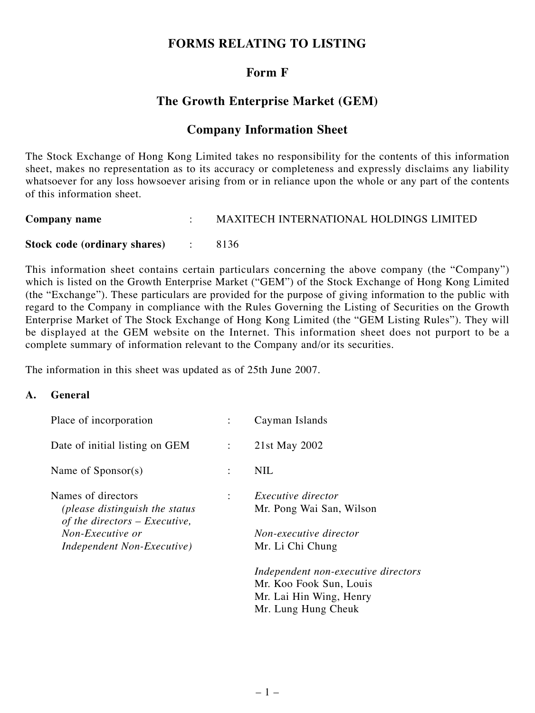# **FORMS RELATING TO LISTING**

# **Form F**

# **The Growth Enterprise Market (GEM)**

## **Company Information Sheet**

The Stock Exchange of Hong Kong Limited takes no responsibility for the contents of this information sheet, makes no representation as to its accuracy or completeness and expressly disclaims any liability whatsoever for any loss howsoever arising from or in reliance upon the whole or any part of the contents of this information sheet.

| <b>Company name</b>            | <b>MAXITECH INTERNATIONAL HOLDINGS LIMITED</b> |
|--------------------------------|------------------------------------------------|
| Stock code (ordinary shares) : | 8136                                           |

This information sheet contains certain particulars concerning the above company (the "Company") which is listed on the Growth Enterprise Market ("GEM") of the Stock Exchange of Hong Kong Limited (the "Exchange"). These particulars are provided for the purpose of giving information to the public with regard to the Company in compliance with the Rules Governing the Listing of Securities on the Growth Enterprise Market of The Stock Exchange of Hong Kong Limited (the "GEM Listing Rules"). They will be displayed at the GEM website on the Internet. This information sheet does not purport to be a complete summary of information relevant to the Company and/or its securities.

The information in this sheet was updated as of 25th June 2007.

#### **A. General**

| Place of incorporation                                            |                      | Cayman Islands                      |
|-------------------------------------------------------------------|----------------------|-------------------------------------|
| Date of initial listing on GEM                                    | $\ddot{\cdot}$       | 21st May 2002                       |
| Name of Sponsor(s)                                                | $\ddot{\phantom{a}}$ | <b>NIL</b>                          |
| Names of directors                                                | ÷                    | <i>Executive director</i>           |
| (please distinguish the status<br>of the directors $-$ Executive, |                      | Mr. Pong Wai San, Wilson            |
| Non-Executive or                                                  |                      | Non-executive director              |
| Independent Non-Executive)                                        |                      | Mr. Li Chi Chung                    |
|                                                                   |                      | Independent non-executive directors |
|                                                                   |                      | Mr. Koo Fook Sun, Louis             |
|                                                                   |                      | Mr. Lai Hin Wing, Henry             |
|                                                                   |                      | Mr. Lung Hung Cheuk                 |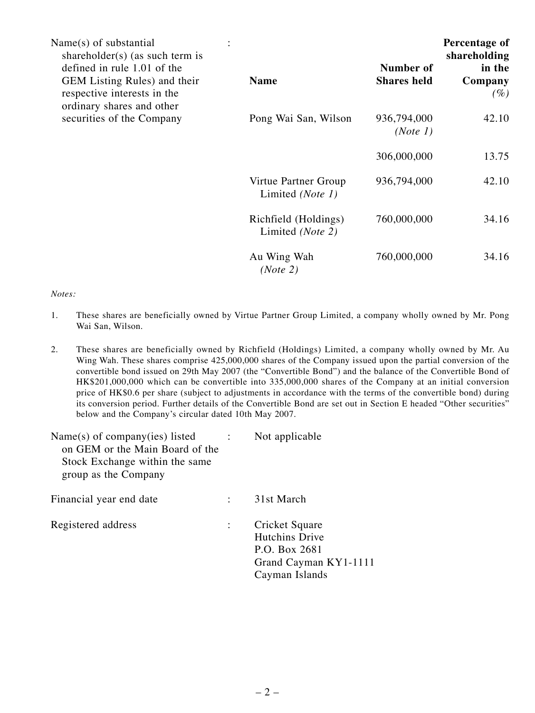| Name(s) of substantial<br>shareholder(s) (as such term is<br>defined in rule 1.01 of the |                                                   | Number of               | Percentage of<br>shareholding<br>in the |
|------------------------------------------------------------------------------------------|---------------------------------------------------|-------------------------|-----------------------------------------|
| GEM Listing Rules) and their<br>respective interests in the<br>ordinary shares and other | <b>Name</b>                                       | <b>Shares held</b>      | Company<br>$(\%)$                       |
| securities of the Company                                                                | Pong Wai San, Wilson                              | 936,794,000<br>(Note 1) | 42.10                                   |
|                                                                                          |                                                   | 306,000,000             | 13.75                                   |
|                                                                                          | Virtue Partner Group<br>Limited (Note 1)          | 936,794,000             | 42.10                                   |
|                                                                                          | Richfield (Holdings)<br>Limited ( <i>Note 2</i> ) | 760,000,000             | 34.16                                   |
|                                                                                          | Au Wing Wah<br>(Note 2)                           | 760,000,000             | 34.16                                   |

#### *Notes:*

- 1. These shares are beneficially owned by Virtue Partner Group Limited, a company wholly owned by Mr. Pong Wai San, Wilson.
- 2. These shares are beneficially owned by Richfield (Holdings) Limited, a company wholly owned by Mr. Au Wing Wah. These shares comprise 425,000,000 shares of the Company issued upon the partial conversion of the convertible bond issued on 29th May 2007 (the "Convertible Bond") and the balance of the Convertible Bond of HK\$201,000,000 which can be convertible into 335,000,000 shares of the Company at an initial conversion price of HK\$0.6 per share (subject to adjustments in accordance with the terms of the convertible bond) during its conversion period. Further details of the Convertible Bond are set out in Section E headed "Other securities" below and the Company's circular dated 10th May 2007.

| $Name(s)$ of company(ies) listed<br>on GEM or the Main Board of the<br>Stock Exchange within the same<br>group as the Company | Not applicable                                                                               |
|-------------------------------------------------------------------------------------------------------------------------------|----------------------------------------------------------------------------------------------|
| Financial year end date                                                                                                       | 31st March                                                                                   |
| Registered address                                                                                                            | Cricket Square<br>Hutchins Drive<br>P.O. Box 2681<br>Grand Cayman KY1-1111<br>Cayman Islands |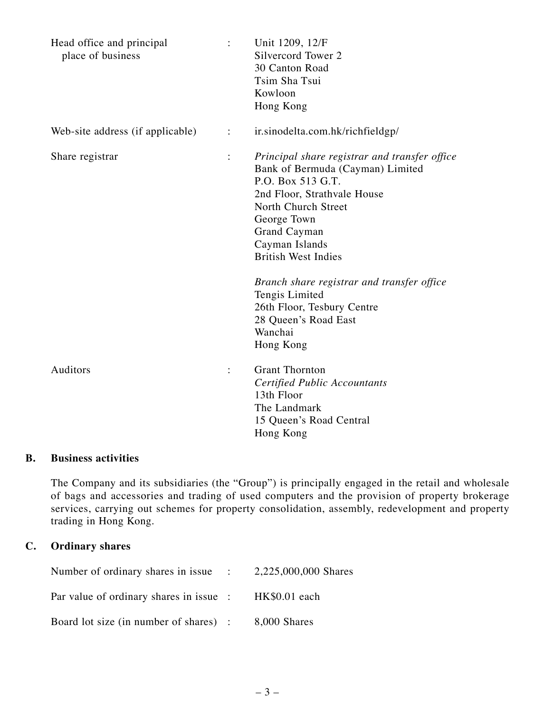| Head office and principal<br>place of business |                      | Unit 1209, 12/F<br>Silvercord Tower 2<br>30 Canton Road<br>Tsim Sha Tsui<br>Kowloon<br>Hong Kong                                                                                                                                                                                                                                                                                          |
|------------------------------------------------|----------------------|-------------------------------------------------------------------------------------------------------------------------------------------------------------------------------------------------------------------------------------------------------------------------------------------------------------------------------------------------------------------------------------------|
| Web-site address (if applicable)               | $\ddot{\phantom{a}}$ | ir.sinodelta.com.hk/richfieldgp/                                                                                                                                                                                                                                                                                                                                                          |
| Share registrar                                | $\vdots$             | Principal share registrar and transfer office<br>Bank of Bermuda (Cayman) Limited<br>P.O. Box 513 G.T.<br>2nd Floor, Strathvale House<br>North Church Street<br>George Town<br>Grand Cayman<br>Cayman Islands<br><b>British West Indies</b><br>Branch share registrar and transfer office<br>Tengis Limited<br>26th Floor, Tesbury Centre<br>28 Queen's Road East<br>Wanchai<br>Hong Kong |
| Auditors                                       | $\ddot{\cdot}$       | <b>Grant Thornton</b><br><b>Certified Public Accountants</b><br>13th Floor<br>The Landmark<br>15 Queen's Road Central<br>Hong Kong                                                                                                                                                                                                                                                        |

## **B. Business activities**

The Company and its subsidiaries (the "Group") is principally engaged in the retail and wholesale of bags and accessories and trading of used computers and the provision of property brokerage services, carrying out schemes for property consolidation, assembly, redevelopment and property trading in Hong Kong.

## **C. Ordinary shares**

| Number of ordinary shares in issue : 2,225,000,000 Shares |  |
|-----------------------------------------------------------|--|
| Par value of ordinary shares in issue : HK\$0.01 each     |  |
| Board lot size (in number of shares) : 8,000 Shares       |  |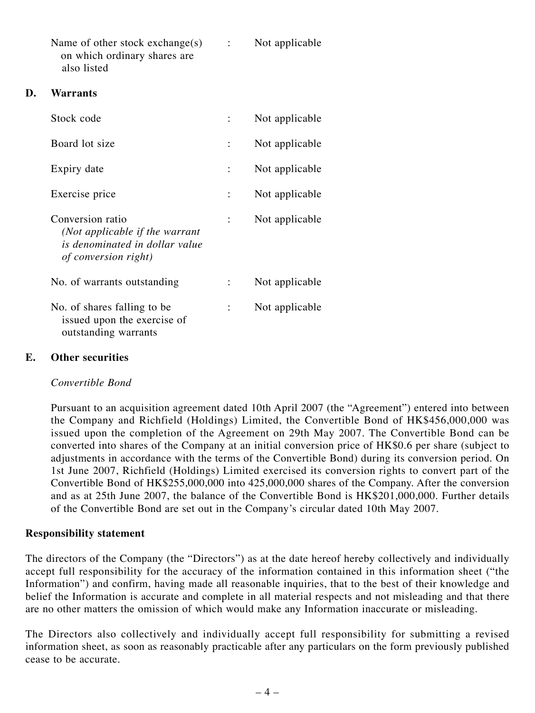| Name of other stock exchange(s) | Not applicable |
|---------------------------------|----------------|
| on which ordinary shares are    |                |
| also listed                     |                |

#### **D. Warrants**

| Stock code                                                                                                   | Not applicable |
|--------------------------------------------------------------------------------------------------------------|----------------|
| Board lot size                                                                                               | Not applicable |
| Expiry date                                                                                                  | Not applicable |
| Exercise price                                                                                               | Not applicable |
| Conversion ratio<br>(Not applicable if the warrant<br>is denominated in dollar value<br>of conversion right) | Not applicable |
| No. of warrants outstanding                                                                                  | Not applicable |
| No. of shares falling to be.<br>issued upon the exercise of<br>outstanding warrants                          | Not applicable |

#### **E. Other securities**

#### *Convertible Bond*

Pursuant to an acquisition agreement dated 10th April 2007 (the "Agreement") entered into between the Company and Richfield (Holdings) Limited, the Convertible Bond of HK\$456,000,000 was issued upon the completion of the Agreement on 29th May 2007. The Convertible Bond can be converted into shares of the Company at an initial conversion price of HK\$0.6 per share (subject to adjustments in accordance with the terms of the Convertible Bond) during its conversion period. On 1st June 2007, Richfield (Holdings) Limited exercised its conversion rights to convert part of the Convertible Bond of HK\$255,000,000 into 425,000,000 shares of the Company. After the conversion and as at 25th June 2007, the balance of the Convertible Bond is HK\$201,000,000. Further details of the Convertible Bond are set out in the Company's circular dated 10th May 2007.

## **Responsibility statement**

The directors of the Company (the "Directors") as at the date hereof hereby collectively and individually accept full responsibility for the accuracy of the information contained in this information sheet ("the Information") and confirm, having made all reasonable inquiries, that to the best of their knowledge and belief the Information is accurate and complete in all material respects and not misleading and that there are no other matters the omission of which would make any Information inaccurate or misleading.

The Directors also collectively and individually accept full responsibility for submitting a revised information sheet, as soon as reasonably practicable after any particulars on the form previously published cease to be accurate.